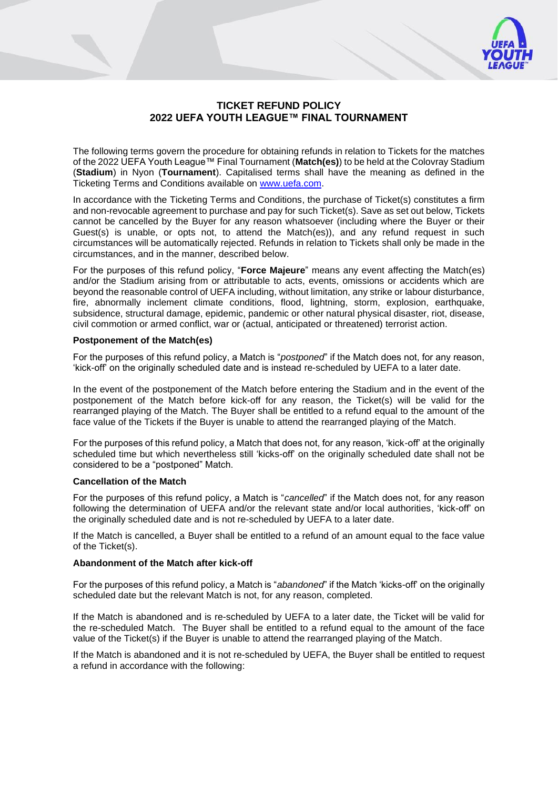

# **TICKET REFUND POLICY 2022 UEFA YOUTH LEAGUE™ FINAL TOURNAMENT**

The following terms govern the procedure for obtaining refunds in relation to Tickets for the matches of the 2022 UEFA Youth League™ Final Tournament (**Match(es)**) to be held at the Colovray Stadium (**Stadium**) in Nyon (**Tournament**). Capitalised terms shall have the meaning as defined in the Ticketing Terms and Conditions available on [www.uefa.com.](http://www.uefa.com/)

In accordance with the Ticketing Terms and Conditions, the purchase of Ticket(s) constitutes a firm and non-revocable agreement to purchase and pay for such Ticket(s). Save as set out below, Tickets cannot be cancelled by the Buyer for any reason whatsoever (including where the Buyer or their Guest(s) is unable, or opts not, to attend the Match(es)), and any refund request in such circumstances will be automatically rejected. Refunds in relation to Tickets shall only be made in the circumstances, and in the manner, described below.

For the purposes of this refund policy, "**Force Majeure**" means any event affecting the Match(es) and/or the Stadium arising from or attributable to acts, events, omissions or accidents which are beyond the reasonable control of UEFA including, without limitation, any strike or labour disturbance, fire, abnormally inclement climate conditions, flood, lightning, storm, explosion, earthquake, subsidence, structural damage, epidemic, pandemic or other natural physical disaster, riot, disease, civil commotion or armed conflict, war or (actual, anticipated or threatened) terrorist action.

### **Postponement of the Match(es)**

For the purposes of this refund policy, a Match is "*postponed*" if the Match does not, for any reason, 'kick-off' on the originally scheduled date and is instead re-scheduled by UEFA to a later date.

In the event of the postponement of the Match before entering the Stadium and in the event of the postponement of the Match before kick-off for any reason, the Ticket(s) will be valid for the rearranged playing of the Match. The Buyer shall be entitled to a refund equal to the amount of the face value of the Tickets if the Buyer is unable to attend the rearranged playing of the Match.

For the purposes of this refund policy, a Match that does not, for any reason, 'kick-off' at the originally scheduled time but which nevertheless still 'kicks-off' on the originally scheduled date shall not be considered to be a "postponed" Match.

### **Cancellation of the Match**

For the purposes of this refund policy, a Match is "*cancelled*" if the Match does not, for any reason following the determination of UEFA and/or the relevant state and/or local authorities, 'kick-off' on the originally scheduled date and is not re-scheduled by UEFA to a later date.

If the Match is cancelled, a Buyer shall be entitled to a refund of an amount equal to the face value of the Ticket(s).

## **Abandonment of the Match after kick-off**

For the purposes of this refund policy, a Match is "*abandoned*" if the Match 'kicks-off' on the originally scheduled date but the relevant Match is not, for any reason, completed.

If the Match is abandoned and is re-scheduled by UEFA to a later date, the Ticket will be valid for the re-scheduled Match. The Buyer shall be entitled to a refund equal to the amount of the face value of the Ticket(s) if the Buyer is unable to attend the rearranged playing of the Match.

If the Match is abandoned and it is not re-scheduled by UEFA, the Buyer shall be entitled to request a refund in accordance with the following: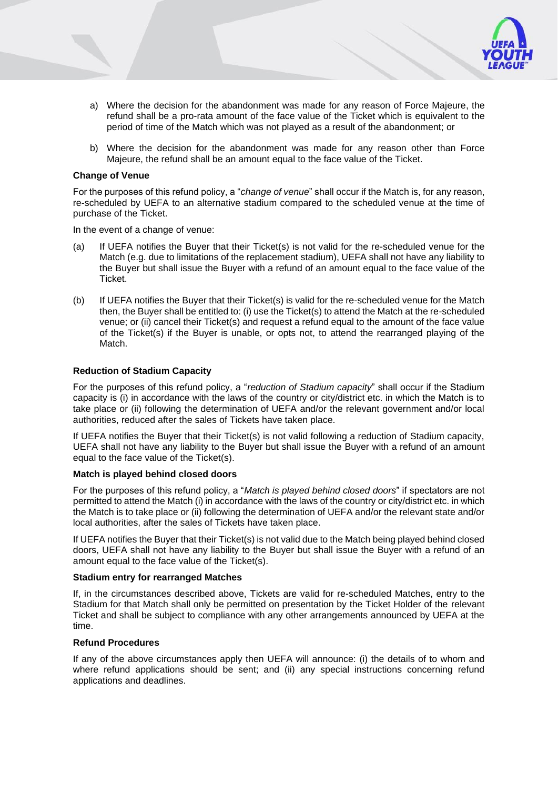- 
- a) Where the decision for the abandonment was made for any reason of Force Majeure, the refund shall be a pro-rata amount of the face value of the Ticket which is equivalent to the period of time of the Match which was not played as a result of the abandonment; or
- b) Where the decision for the abandonment was made for any reason other than Force Majeure, the refund shall be an amount equal to the face value of the Ticket.

### **Change of Venue**

For the purposes of this refund policy, a "*change of venue*" shall occur if the Match is, for any reason, re-scheduled by UEFA to an alternative stadium compared to the scheduled venue at the time of purchase of the Ticket.

In the event of a change of venue:

- (a) If UEFA notifies the Buyer that their Ticket(s) is not valid for the re-scheduled venue for the Match (e.g. due to limitations of the replacement stadium), UEFA shall not have any liability to the Buyer but shall issue the Buyer with a refund of an amount equal to the face value of the Ticket.
- (b) If UEFA notifies the Buyer that their Ticket(s) is valid for the re-scheduled venue for the Match then, the Buyer shall be entitled to: (i) use the Ticket(s) to attend the Match at the re-scheduled venue; or (ii) cancel their Ticket(s) and request a refund equal to the amount of the face value of the Ticket(s) if the Buyer is unable, or opts not, to attend the rearranged playing of the Match.

### **Reduction of Stadium Capacity**

For the purposes of this refund policy, a "*reduction of Stadium capacity*" shall occur if the Stadium capacity is (i) in accordance with the laws of the country or city/district etc. in which the Match is to take place or (ii) following the determination of UEFA and/or the relevant government and/or local authorities, reduced after the sales of Tickets have taken place.

If UEFA notifies the Buyer that their Ticket(s) is not valid following a reduction of Stadium capacity, UEFA shall not have any liability to the Buyer but shall issue the Buyer with a refund of an amount equal to the face value of the Ticket(s).

### **Match is played behind closed doors**

For the purposes of this refund policy, a "*Match is played behind closed doors*" if spectators are not permitted to attend the Match (i) in accordance with the laws of the country or city/district etc. in which the Match is to take place or (ii) following the determination of UEFA and/or the relevant state and/or local authorities, after the sales of Tickets have taken place.

If UEFA notifies the Buyer that their Ticket(s) is not valid due to the Match being played behind closed doors, UEFA shall not have any liability to the Buyer but shall issue the Buyer with a refund of an amount equal to the face value of the Ticket(s).

### **Stadium entry for rearranged Matches**

If, in the circumstances described above, Tickets are valid for re-scheduled Matches, entry to the Stadium for that Match shall only be permitted on presentation by the Ticket Holder of the relevant Ticket and shall be subject to compliance with any other arrangements announced by UEFA at the time.

### **Refund Procedures**

If any of the above circumstances apply then UEFA will announce: (i) the details of to whom and where refund applications should be sent; and (ii) any special instructions concerning refund applications and deadlines.